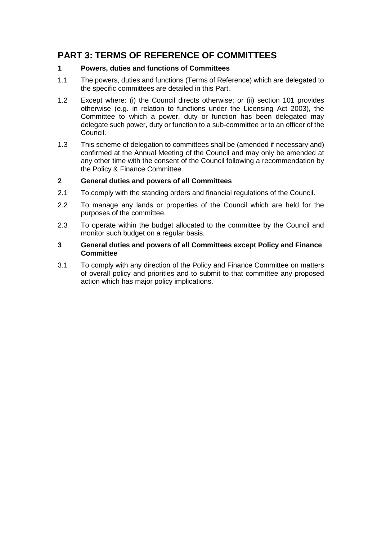# **PART 3: TERMS OF REFERENCE OF COMMITTEES**

## **1 Powers, duties and functions of Committees**

- 1.1 The powers, duties and functions (Terms of Reference) which are delegated to the specific committees are detailed in this Part.
- 1.2 Except where: (i) the Council directs otherwise; or (ii) section 101 provides otherwise (e.g. in relation to functions under the Licensing Act 2003), the Committee to which a power, duty or function has been delegated may delegate such power, duty or function to a sub-committee or to an officer of the Council.
- 1.3 This scheme of delegation to committees shall be (amended if necessary and) confirmed at the Annual Meeting of the Council and may only be amended at any other time with the consent of the Council following a recommendation by the Policy & Finance Committee.

## **2 General duties and powers of all Committees**

- 2.1 To comply with the standing orders and financial regulations of the Council.
- 2.2 To manage any lands or properties of the Council which are held for the purposes of the committee.
- 2.3 To operate within the budget allocated to the committee by the Council and monitor such budget on a regular basis.

### **3 General duties and powers of all Committees except Policy and Finance Committee**

3.1 To comply with any direction of the Policy and Finance Committee on matters of overall policy and priorities and to submit to that committee any proposed action which has major policy implications.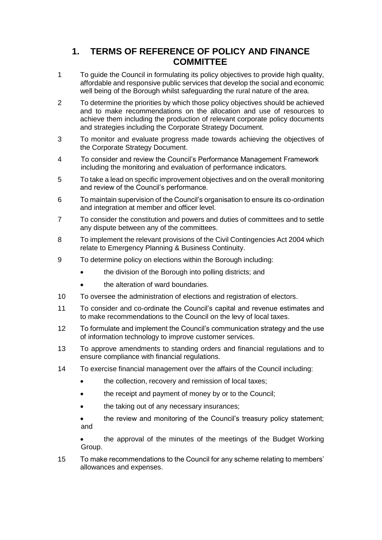## **1. TERMS OF REFERENCE OF POLICY AND FINANCE COMMITTEE**

- 1 To guide the Council in formulating its policy objectives to provide high quality, affordable and responsive public services that develop the social and economic well being of the Borough whilst safeguarding the rural nature of the area.
- 2 To determine the priorities by which those policy objectives should be achieved and to make recommendations on the allocation and use of resources to achieve them including the production of relevant corporate policy documents and strategies including the Corporate Strategy Document.
- 3 To monitor and evaluate progress made towards achieving the objectives of the Corporate Strategy Document.
- 4 To consider and review the Council's Performance Management Framework including the monitoring and evaluation of performance indicators.
- 5 To take a lead on specific improvement objectives and on the overall monitoring and review of the Council's performance.
- 6 To maintain supervision of the Council's organisation to ensure its co-ordination and integration at member and officer level.
- 7 To consider the constitution and powers and duties of committees and to settle any dispute between any of the committees.
- 8 To implement the relevant provisions of the Civil Contingencies Act 2004 which relate to Emergency Planning & Business Continuity.
- 9 To determine policy on elections within the Borough including:
	- the division of the Borough into polling districts; and
	- the alteration of ward boundaries.
- 10 To oversee the administration of elections and registration of electors.
- 11 To consider and co-ordinate the Council's capital and revenue estimates and to make recommendations to the Council on the levy of local taxes.
- 12 To formulate and implement the Council's communication strategy and the use of information technology to improve customer services.
- 13 To approve amendments to standing orders and financial regulations and to ensure compliance with financial regulations.
- 14 To exercise financial management over the affairs of the Council including:
	- the collection, recovery and remission of local taxes;
	- the receipt and payment of money by or to the Council;
	- the taking out of any necessary insurances;
	- the review and monitoring of the Council's treasury policy statement; and

 the approval of the minutes of the meetings of the Budget Working Group.

15 To make recommendations to the Council for any scheme relating to members' allowances and expenses.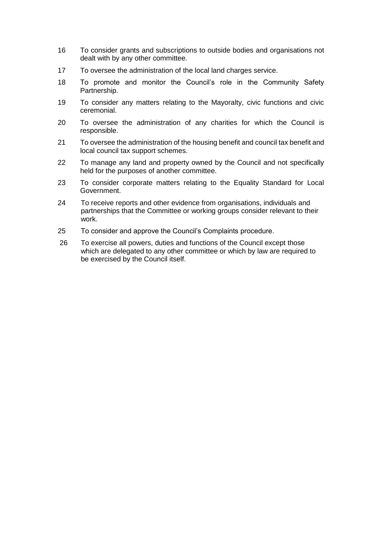- 16 To consider grants and subscriptions to outside bodies and organisations not dealt with by any other committee.
- 17 To oversee the administration of the local land charges service.
- 18 To promote and monitor the Council's role in the Community Safety Partnership.
- 19 To consider any matters relating to the Mayoralty, civic functions and civic ceremonial.
- 20 To oversee the administration of any charities for which the Council is responsible.
- 21 To oversee the administration of the housing benefit and council tax benefit and local council tax support schemes.
- 22 To manage any land and property owned by the Council and not specifically held for the purposes of another committee.
- 23 To consider corporate matters relating to the Equality Standard for Local Government.
- 24 To receive reports and other evidence from organisations, individuals and partnerships that the Committee or working groups consider relevant to their work.
- 25 To consider and approve the Council's Complaints procedure.
- 26 To exercise all powers, duties and functions of the Council except those which are delegated to any other committee or which by law are required to be exercised by the Council itself.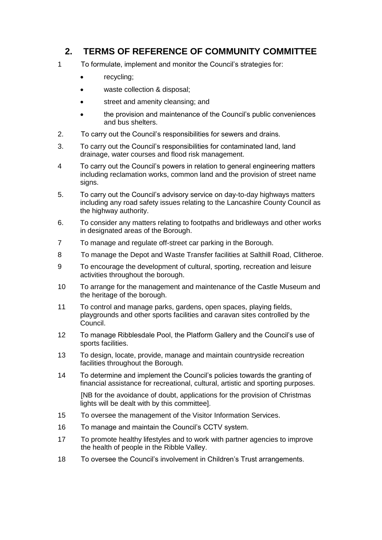## **2. TERMS OF REFERENCE OF COMMUNITY COMMITTEE**

- 1 To formulate, implement and monitor the Council's strategies for:
	- recycling;
	- waste collection & disposal;
	- **street and amenity cleansing; and**
	- the provision and maintenance of the Council's public conveniences and bus shelters.
- 2. To carry out the Council's responsibilities for sewers and drains.
- 3. To carry out the Council's responsibilities for contaminated land, land drainage, water courses and flood risk management.
- 4 To carry out the Council's powers in relation to general engineering matters including reclamation works, common land and the provision of street name signs.
- 5. To carry out the Council's advisory service on day-to-day highways matters including any road safety issues relating to the Lancashire County Council as the highway authority.
- 6. To consider any matters relating to footpaths and bridleways and other works in designated areas of the Borough.
- 7 To manage and regulate off-street car parking in the Borough.
- 8 To manage the Depot and Waste Transfer facilities at Salthill Road, Clitheroe.
- 9 To encourage the development of cultural, sporting, recreation and leisure activities throughout the borough.
- 10 To arrange for the management and maintenance of the Castle Museum and the heritage of the borough.
- 11 To control and manage parks, gardens, open spaces, playing fields, playgrounds and other sports facilities and caravan sites controlled by the Council.
- 12 To manage Ribblesdale Pool, the Platform Gallery and the Council's use of sports facilities.
- 13 To design, locate, provide, manage and maintain countryside recreation facilities throughout the Borough.
- 14 To determine and implement the Council's policies towards the granting of financial assistance for recreational, cultural, artistic and sporting purposes.

[NB for the avoidance of doubt, applications for the provision of Christmas lights will be dealt with by this committee].

- 15 To oversee the management of the Visitor Information Services.
- 16 To manage and maintain the Council's CCTV system.
- 17 To promote healthy lifestyles and to work with partner agencies to improve the health of people in the Ribble Valley.
- 18 To oversee the Council's involvement in Children's Trust arrangements.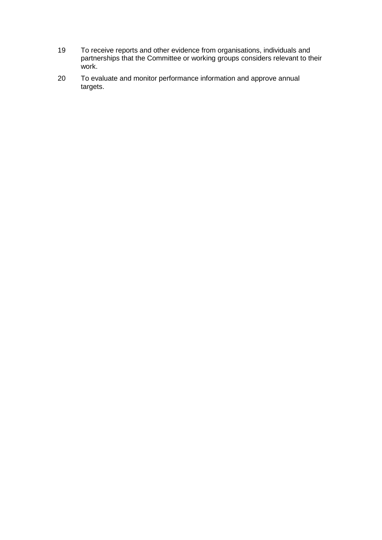- 19 To receive reports and other evidence from organisations, individuals and partnerships that the Committee or working groups considers relevant to their work.
- 20 To evaluate and monitor performance information and approve annual targets.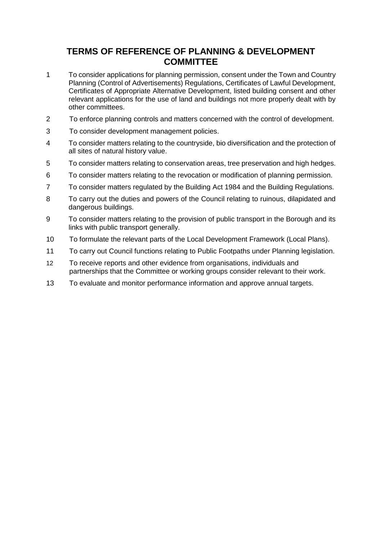## **TERMS OF REFERENCE OF PLANNING & DEVELOPMENT COMMITTEE**

- 1 To consider applications for planning permission, consent under the Town and Country Planning (Control of Advertisements) Regulations, Certificates of Lawful Development, Certificates of Appropriate Alternative Development, listed building consent and other relevant applications for the use of land and buildings not more properly dealt with by other committees.
- 2 To enforce planning controls and matters concerned with the control of development.
- 3 To consider development management policies.
- 4 To consider matters relating to the countryside, bio diversification and the protection of all sites of natural history value.
- 5 To consider matters relating to conservation areas, tree preservation and high hedges.
- 6 To consider matters relating to the revocation or modification of planning permission.
- 7 To consider matters regulated by the Building Act 1984 and the Building Regulations.
- 8 To carry out the duties and powers of the Council relating to ruinous, dilapidated and dangerous buildings.
- 9 To consider matters relating to the provision of public transport in the Borough and its links with public transport generally.
- 10 To formulate the relevant parts of the Local Development Framework (Local Plans).
- 11 To carry out Council functions relating to Public Footpaths under Planning legislation.
- 12 To receive reports and other evidence from organisations, individuals and partnerships that the Committee or working groups consider relevant to their work.
- 13 To evaluate and monitor performance information and approve annual targets.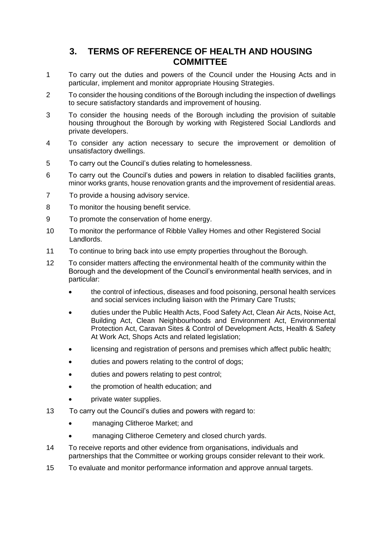## **3. TERMS OF REFERENCE OF HEALTH AND HOUSING COMMITTEE**

- 1 To carry out the duties and powers of the Council under the Housing Acts and in particular, implement and monitor appropriate Housing Strategies.
- 2 To consider the housing conditions of the Borough including the inspection of dwellings to secure satisfactory standards and improvement of housing.
- 3 To consider the housing needs of the Borough including the provision of suitable housing throughout the Borough by working with Registered Social Landlords and private developers.
- 4 To consider any action necessary to secure the improvement or demolition of unsatisfactory dwellings.
- 5 To carry out the Council's duties relating to homelessness.
- 6 To carry out the Council's duties and powers in relation to disabled facilities grants, minor works grants, house renovation grants and the improvement of residential areas.
- 7 To provide a housing advisory service.
- 8 To monitor the housing benefit service.
- 9 To promote the conservation of home energy.
- 10 To monitor the performance of Ribble Valley Homes and other Registered Social Landlords.
- 11 To continue to bring back into use empty properties throughout the Borough.
- 12 To consider matters affecting the environmental health of the community within the Borough and the development of the Council's environmental health services, and in particular:
	- the control of infectious, diseases and food poisoning, personal health services and social services including liaison with the Primary Care Trusts;
	- duties under the Public Health Acts, Food Safety Act, Clean Air Acts, Noise Act, Building Act, Clean Neighbourhoods and Environment Act, Environmental Protection Act, Caravan Sites & Control of Development Acts, Health & Safety At Work Act, Shops Acts and related legislation:
	- licensing and registration of persons and premises which affect public health;
	- duties and powers relating to the control of dogs;
	- duties and powers relating to pest control;
	- the promotion of health education; and
	- private water supplies.
- 13 To carry out the Council's duties and powers with regard to:
	- managing Clitheroe Market; and
	- managing Clitheroe Cemetery and closed church yards.
- 14 To receive reports and other evidence from organisations, individuals and partnerships that the Committee or working groups consider relevant to their work.
- 15 To evaluate and monitor performance information and approve annual targets.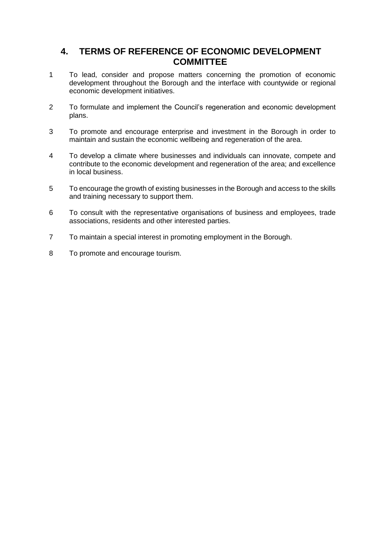## **4. TERMS OF REFERENCE OF ECONOMIC DEVELOPMENT COMMITTEE**

- 1 To lead, consider and propose matters concerning the promotion of economic development throughout the Borough and the interface with countywide or regional economic development initiatives.
- 2 To formulate and implement the Council's regeneration and economic development plans.
- 3 To promote and encourage enterprise and investment in the Borough in order to maintain and sustain the economic wellbeing and regeneration of the area.
- 4 To develop a climate where businesses and individuals can innovate, compete and contribute to the economic development and regeneration of the area; and excellence in local business.
- 5 To encourage the growth of existing businesses in the Borough and access to the skills and training necessary to support them.
- 6 To consult with the representative organisations of business and employees, trade associations, residents and other interested parties.
- 7 To maintain a special interest in promoting employment in the Borough.
- 8 To promote and encourage tourism.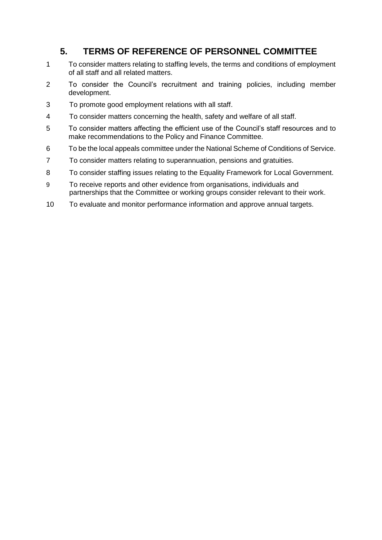# **5. TERMS OF REFERENCE OF PERSONNEL COMMITTEE**

- To consider matters relating to staffing levels, the terms and conditions of employment of all staff and all related matters.
- To consider the Council's recruitment and training policies, including member development.
- To promote good employment relations with all staff.
- To consider matters concerning the health, safety and welfare of all staff.
- To consider matters affecting the efficient use of the Council's staff resources and to make recommendations to the Policy and Finance Committee.
- To be the local appeals committee under the National Scheme of Conditions of Service.
- To consider matters relating to superannuation, pensions and gratuities.
- To consider staffing issues relating to the Equality Framework for Local Government.
- To receive reports and other evidence from organisations, individuals and partnerships that the Committee or working groups consider relevant to their work.
- To evaluate and monitor performance information and approve annual targets.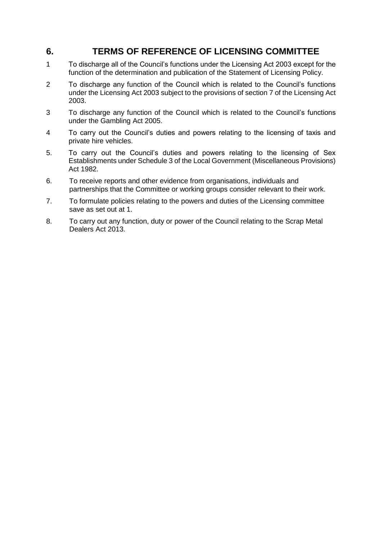## **6. TERMS OF REFERENCE OF LICENSING COMMITTEE**

- 1 To discharge all of the Council's functions under the Licensing Act 2003 except for the function of the determination and publication of the Statement of Licensing Policy.
- 2 To discharge any function of the Council which is related to the Council's functions under the Licensing Act 2003 subject to the provisions of section 7 of the Licensing Act 2003.
- 3 To discharge any function of the Council which is related to the Council's functions under the Gambling Act 2005.
- 4 To carry out the Council's duties and powers relating to the licensing of taxis and private hire vehicles.
- 5. To carry out the Council's duties and powers relating to the licensing of Sex Establishments under Schedule 3 of the Local Government (Miscellaneous Provisions) Act 1982.
- 6. To receive reports and other evidence from organisations, individuals and partnerships that the Committee or working groups consider relevant to their work.
- 7. To formulate policies relating to the powers and duties of the Licensing committee save as set out at 1.
- 8. To carry out any function, duty or power of the Council relating to the Scrap Metal Dealers Act 2013.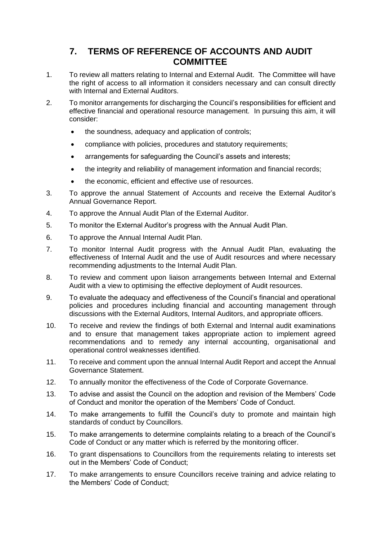# **7. TERMS OF REFERENCE OF ACCOUNTS AND AUDIT COMMITTEE**

- 1. To review all matters relating to Internal and External Audit. The Committee will have the right of access to all information it considers necessary and can consult directly with Internal and External Auditors.
- 2. To monitor arrangements for discharging the Council's responsibilities for efficient and effective financial and operational resource management. In pursuing this aim, it will consider:
	- the soundness, adequacy and application of controls;
	- compliance with policies, procedures and statutory requirements;
	- arrangements for safeguarding the Council's assets and interests;
	- the integrity and reliability of management information and financial records;
	- the economic, efficient and effective use of resources.
- 3. To approve the annual Statement of Accounts and receive the External Auditor's Annual Governance Report.
- 4. To approve the Annual Audit Plan of the External Auditor.
- 5. To monitor the External Auditor's progress with the Annual Audit Plan.
- 6. To approve the Annual Internal Audit Plan.
- 7. To monitor Internal Audit progress with the Annual Audit Plan, evaluating the effectiveness of Internal Audit and the use of Audit resources and where necessary recommending adjustments to the Internal Audit Plan.
- 8. To review and comment upon liaison arrangements between Internal and External Audit with a view to optimising the effective deployment of Audit resources.
- 9. To evaluate the adequacy and effectiveness of the Council's financial and operational policies and procedures including financial and accounting management through discussions with the External Auditors, Internal Auditors, and appropriate officers.
- 10. To receive and review the findings of both External and Internal audit examinations and to ensure that management takes appropriate action to implement agreed recommendations and to remedy any internal accounting, organisational and operational control weaknesses identified.
- 11. To receive and comment upon the annual Internal Audit Report and accept the Annual Governance Statement.
- 12. To annually monitor the effectiveness of the Code of Corporate Governance.
- 13. To advise and assist the Council on the adoption and revision of the Members' Code of Conduct and monitor the operation of the Members' Code of Conduct.
- 14. To make arrangements to fulfill the Council's duty to promote and maintain high standards of conduct by Councillors.
- 15. To make arrangements to determine complaints relating to a breach of the Council's Code of Conduct or any matter which is referred by the monitoring officer.
- 16. To grant dispensations to Councillors from the requirements relating to interests set out in the Members' Code of Conduct;
- 17. To make arrangements to ensure Councillors receive training and advice relating to the Members' Code of Conduct;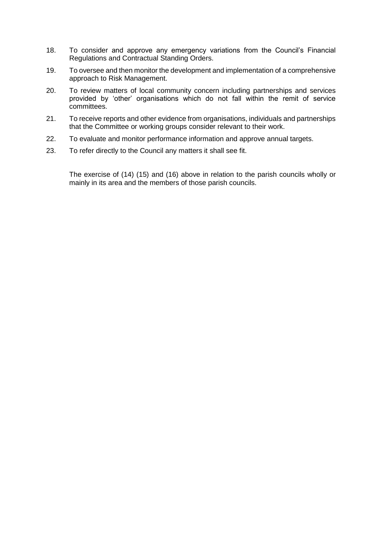- 18. To consider and approve any emergency variations from the Council's Financial Regulations and Contractual Standing Orders.
- 19. To oversee and then monitor the development and implementation of a comprehensive approach to Risk Management.
- 20. To review matters of local community concern including partnerships and services provided by 'other' organisations which do not fall within the remit of service committees.
- 21. To receive reports and other evidence from organisations, individuals and partnerships that the Committee or working groups consider relevant to their work.
- 22. To evaluate and monitor performance information and approve annual targets.
- 23. To refer directly to the Council any matters it shall see fit.

The exercise of (14) (15) and (16) above in relation to the parish councils wholly or mainly in its area and the members of those parish councils.